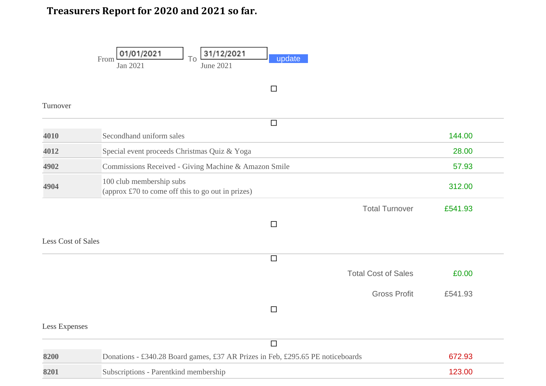## **Treasurers Report for 2020 and 2021 so far.**

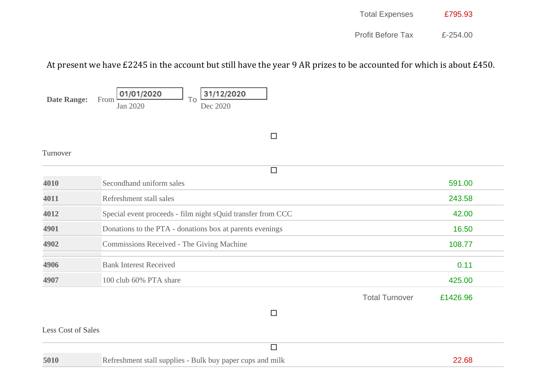| <b>Total Expenses</b> | £795.93 |
|-----------------------|---------|
|                       |         |

Profit Before Tax £-254.00

## At present we have £2245 in the account but still have the year 9 AR prizes to be accounted for which is about £450.

01/01/2020 31/12/2020 **Date Range:** From To Jan 2020 Dec 2020  $\Box$ Turnover  $\overline{\square}$ **4010** Secondhand uniform sales 591.00 **4011** Refreshment stall sales 243.58

|                       | 270.JU   |
|-----------------------|----------|
|                       | 42.00    |
|                       | 16.50    |
|                       | 108.77   |
|                       | 0.11     |
|                       | 425.00   |
| <b>Total Turnover</b> | £1426.96 |
|                       |          |
|                       |          |

## Less Cost of Sales

| 5010 | Refreshment stall supplies - Bulk buy paper cups and milk |  |
|------|-----------------------------------------------------------|--|